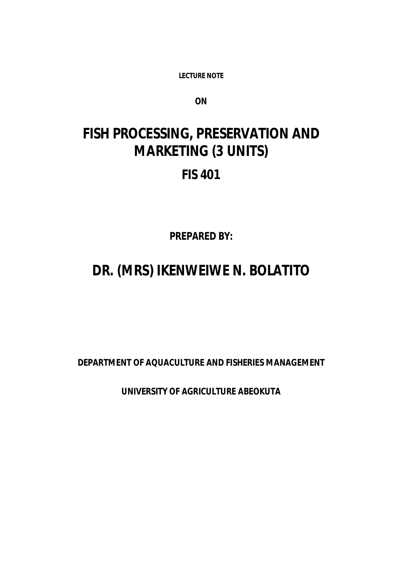**LECTURE NOTE** 

*ON*

# **FISH PROCESSING, PRESERVATION AND MARKETING (3 UNITS) FIS 401**

*PREPARED BY:*

# **DR. (MRS) IKENWEIWE N. BOLATITO**

**DEPARTMENT OF AQUACULTURE AND FISHERIES MANAGEMENT**

**UNIVERSITY OF AGRICULTURE ABEOKUTA**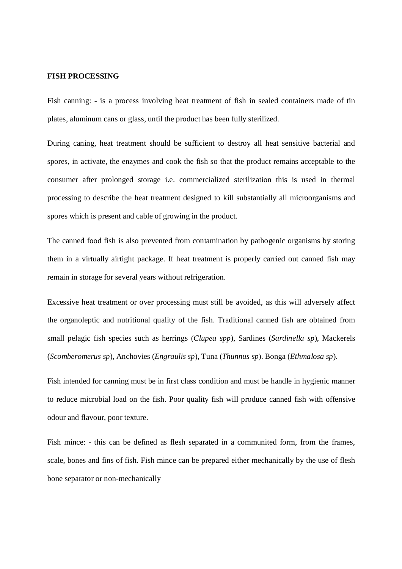#### **FISH PROCESSING**

Fish canning: - is a process involving heat treatment of fish in sealed containers made of tin plates, aluminum cans or glass, until the product has been fully sterilized.

During caning, heat treatment should be sufficient to destroy all heat sensitive bacterial and spores, in activate, the enzymes and cook the fish so that the product remains acceptable to the consumer after prolonged storage i.e. commercialized sterilization this is used in thermal processing to describe the heat treatment designed to kill substantially all microorganisms and spores which is present and cable of growing in the product.

The canned food fish is also prevented from contamination by pathogenic organisms by storing them in a virtually airtight package. If heat treatment is properly carried out canned fish may remain in storage for several years without refrigeration.

Excessive heat treatment or over processing must still be avoided, as this will adversely affect the organoleptic and nutritional quality of the fish. Traditional canned fish are obtained from small pelagic fish species such as herrings (*Clupea spp*), Sardines (*Sardinella sp*), Mackerels (*Scomberomerus sp*), Anchovies (*Engraulis sp*), Tuna (*Thunnus sp*). Bonga (*Ethmalosa sp*).

Fish intended for canning must be in first class condition and must be handle in hygienic manner to reduce microbial load on the fish. Poor quality fish will produce canned fish with offensive odour and flavour, poor texture.

Fish mince: - this can be defined as flesh separated in a communited form, from the frames, scale, bones and fins of fish. Fish mince can be prepared either mechanically by the use of flesh bone separator or non-mechanically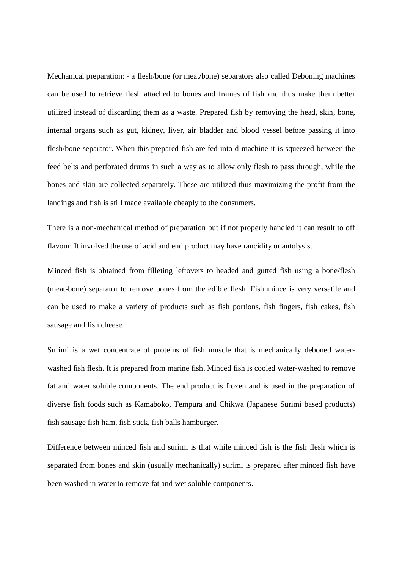Mechanical preparation: - a flesh/bone (or meat/bone) separators also called Deboning machines can be used to retrieve flesh attached to bones and frames of fish and thus make them better utilized instead of discarding them as a waste. Prepared fish by removing the head, skin, bone, internal organs such as gut, kidney, liver, air bladder and blood vessel before passing it into flesh/bone separator. When this prepared fish are fed into d machine it is squeezed between the feed belts and perforated drums in such a way as to allow only flesh to pass through, while the bones and skin are collected separately. These are utilized thus maximizing the profit from the landings and fish is still made available cheaply to the consumers.

There is a non-mechanical method of preparation but if not properly handled it can result to off flavour. It involved the use of acid and end product may have rancidity or autolysis.

Minced fish is obtained from filleting leftovers to headed and gutted fish using a bone/flesh (meat-bone) separator to remove bones from the edible flesh. Fish mince is very versatile and can be used to make a variety of products such as fish portions, fish fingers, fish cakes, fish sausage and fish cheese.

Surimi is a wet concentrate of proteins of fish muscle that is mechanically deboned waterwashed fish flesh. It is prepared from marine fish. Minced fish is cooled water-washed to remove fat and water soluble components. The end product is frozen and is used in the preparation of diverse fish foods such as Kamaboko, Tempura and Chikwa (Japanese Surimi based products) fish sausage fish ham, fish stick, fish balls hamburger.

Difference between minced fish and surimi is that while minced fish is the fish flesh which is separated from bones and skin (usually mechanically) surimi is prepared after minced fish have been washed in water to remove fat and wet soluble components.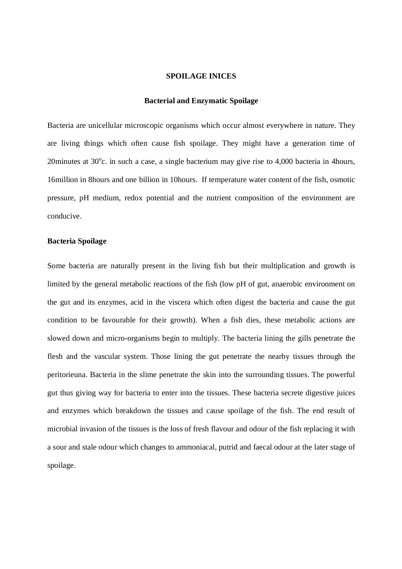#### **SPOILAGE INICES**

#### **Bacterial and Enzymatic Spoilage**

Bacteria are unicellular microscopic organisms which occur almost everywhere in nature. They are living things which often cause fish spoilage. They might have a generation time of 20 minutes at  $30^{\circ}$ c. in such a case, a single bacterium may give rise to 4,000 bacteria in 4 hours, 16million in 8hours and one billion in 10hours. If temperature water content of the fish, osmotic pressure, pH medium, redox potential and the nutrient composition of the environment are conducive.

#### **Bacteria Spoilage**

Some bacteria are naturally present in the living fish but their multiplication and growth is limited by the general metabolic reactions of the fish (low pH of gut, anaerobic environment on the gut and its enzymes, acid in the viscera which often digest the bacteria and cause the gut condition to be favourable for their growth). When a fish dies, these metabolic actions are slowed down and micro-organisms begin to multiply. The bacteria lining the gills penetrate the flesh and the vascular system. Those lining the gut penetrate the nearby tissues through the peritorieuna. Bacteria in the slime penetrate the skin into the surrounding tissues. The powerful gut thus giving way for bacteria to enter into the tissues. These bacteria secrete digestive juices and enzymes which breakdown the tissues and cause spoilage of the fish. The end result of microbial invasion of the tissues is the loss of fresh flavour and odour of the fish replacing it with a sour and stale odour which changes to ammoniacal, putrid and faecal odour at the later stage of spoilage.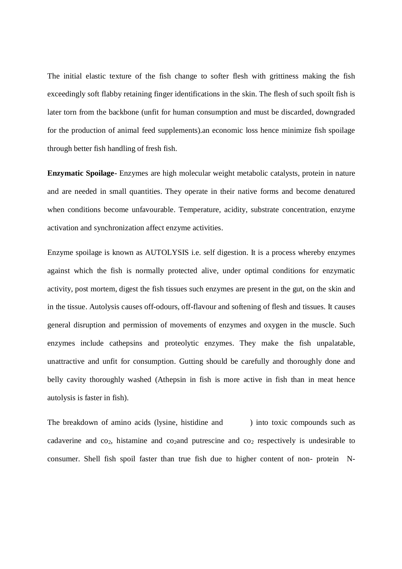The initial elastic texture of the fish change to softer flesh with grittiness making the fish exceedingly soft flabby retaining finger identifications in the skin. The flesh of such spoilt fish is later torn from the backbone (unfit for human consumption and must be discarded, downgraded for the production of animal feed supplements).an economic loss hence minimize fish spoilage through better fish handling of fresh fish.

**Enzymatic Spoilage-** Enzymes are high molecular weight metabolic catalysts, protein in nature and are needed in small quantities. They operate in their native forms and become denatured when conditions become unfavourable. Temperature, acidity, substrate concentration, enzyme activation and synchronization affect enzyme activities.

Enzyme spoilage is known as AUTOLYSIS i.e. self digestion. It is a process whereby enzymes against which the fish is normally protected alive, under optimal conditions for enzymatic activity, post mortem, digest the fish tissues such enzymes are present in the gut, on the skin and in the tissue. Autolysis causes off-odours, off-flavour and softening of flesh and tissues. It causes general disruption and permission of movements of enzymes and oxygen in the muscle. Such enzymes include cathepsins and proteolytic enzymes. They make the fish unpalatable, unattractive and unfit for consumption. Gutting should be carefully and thoroughly done and belly cavity thoroughly washed (Athepsin in fish is more active in fish than in meat hence autolysis is faster in fish).

The breakdown of amino acids (lysine, histidine and ) into toxic compounds such as cadaverine and  $co_2$ , histamine and  $co_2$  and putrescine and  $co_2$  respectively is undesirable to consumer. Shell fish spoil faster than true fish due to higher content of non- protein N-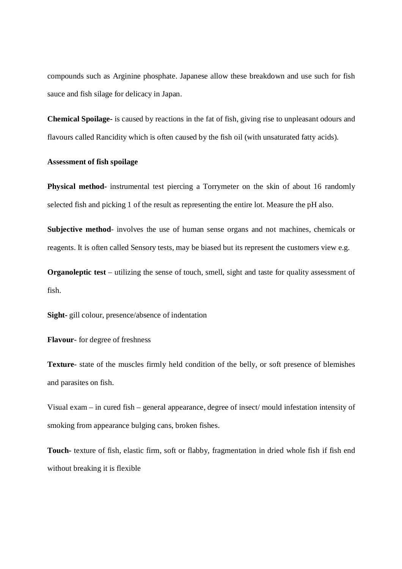compounds such as Arginine phosphate. Japanese allow these breakdown and use such for fish sauce and fish silage for delicacy in Japan.

**Chemical Spoilage-** is caused by reactions in the fat of fish, giving rise to unpleasant odours and flavours called Rancidity which is often caused by the fish oil (with unsaturated fatty acids).

#### **Assessment of fish spoilage**

**Physical method-** instrumental test piercing a Torrymeter on the skin of about 16 randomly selected fish and picking 1 of the result as representing the entire lot. Measure the pH also.

**Subjective method**- involves the use of human sense organs and not machines, chemicals or reagents. It is often called Sensory tests, may be biased but its represent the customers view e.g.

**Organoleptic test** – utilizing the sense of touch, smell, sight and taste for quality assessment of fish.

**Sight-** gill colour, presence/absence of indentation

**Flavour**- for degree of freshness

**Texture**- state of the muscles firmly held condition of the belly, or soft presence of blemishes and parasites on fish.

Visual exam – in cured fish – general appearance, degree of insect/ mould infestation intensity of smoking from appearance bulging cans, broken fishes.

**Touch-** texture of fish, elastic firm, soft or flabby, fragmentation in dried whole fish if fish end without breaking it is flexible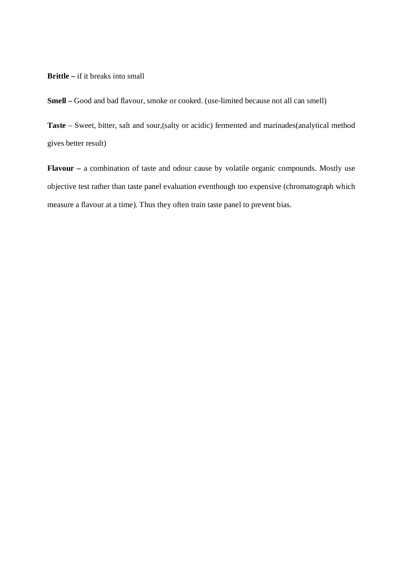### **Brittle** – if it breaks into small

**Smell –** Good and bad flavour, smoke or cooked. (use-limited because not all can smell)

**Taste** – Sweet, bitter, salt and sour,(salty or acidic) fermented and marinades(analytical method gives better result)

**Flavour –** a combination of taste and odour cause by volatile organic compounds. Mostly use objective test rather than taste panel evaluation eventhough too expensive (chromatograph which measure a flavour at a time). Thus they often train taste panel to prevent bias.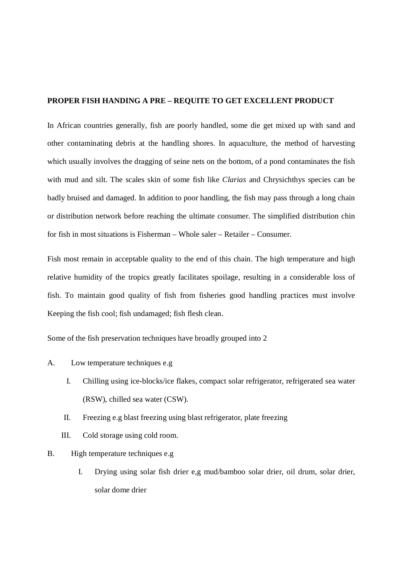## **PROPER FISH HANDING A PRE – REQUITE TO GET EXCELLENT PRODUCT**

In African countries generally, fish are poorly handled, some die get mixed up with sand and other contaminating debris at the handling shores. In aquaculture, the method of harvesting which usually involves the dragging of seine nets on the bottom, of a pond contaminates the fish with mud and silt. The scales skin of some fish like *Clarias* and Chrysichthys species can be badly bruised and damaged. In addition to poor handling, the fish may pass through a long chain or distribution network before reaching the ultimate consumer. The simplified distribution chin for fish in most situations is Fisherman – Whole saler – Retailer – Consumer.

Fish most remain in acceptable quality to the end of this chain. The high temperature and high relative humidity of the tropics greatly facilitates spoilage, resulting in a considerable loss of fish. To maintain good quality of fish from fisheries good handling practices must involve Keeping the fish cool; fish undamaged; fish flesh clean.

Some of the fish preservation techniques have broadly grouped into 2

- A. Low temperature techniques e.g
	- I. Chilling using ice-blocks/ice flakes, compact solar refrigerator, refrigerated sea water (RSW), chilled sea water (CSW).
	- II. Freezing e.g blast freezing using blast refrigerator, plate freezing
	- III. Cold storage using cold room.
- B. High temperature techniques e.g
	- I. Drying using solar fish drier e,g mud/bamboo solar drier, oil drum, solar drier, solar dome drier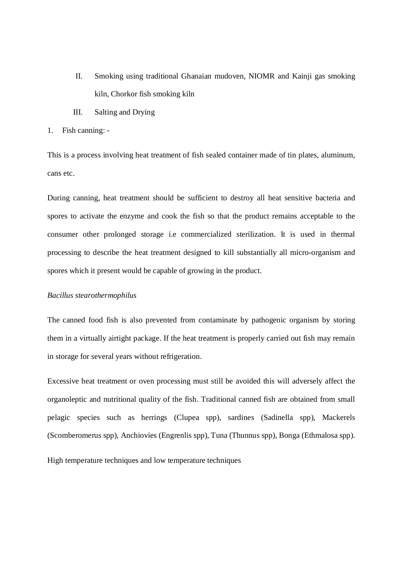- II. Smoking using traditional Ghanaian mudoven, NIOMR and Kainji gas smoking kiln, Chorkor fish smoking kiln
- III. Salting and Drying
- 1. Fish canning: -

This is a process involving heat treatment of fish sealed container made of tin plates, aluminum, cans etc.

During canning, heat treatment should be sufficient to destroy all heat sensitive bacteria and spores to activate the enzyme and cook the fish so that the product remains acceptable to the consumer other prolonged storage i.e commercialized sterilization. It is used in thermal processing to describe the heat treatment designed to kill substantially all micro-organism and spores which it present would be capable of growing in the product.

#### *Bacillus stearothermophilus*

The canned food fish is also prevented from contaminate by pathogenic organism by storing them in a virtually airtight package. If the heat treatment is properly carried out fish may remain in storage for several years without refrigeration.

Excessive heat treatment or oven processing must still be avoided this will adversely affect the organoleptic and nutritional quality of the fish. Traditional canned fish are obtained from small pelagic species such as herrings (Clupea spp), sardines (Sadinella spp), Mackerels (Scomberomerus spp), Anchiovies (Engrenlis spp), Tuna (Thunnus spp), Bonga (Ethmalosa spp).

High temperature techniques and low temperature techniques